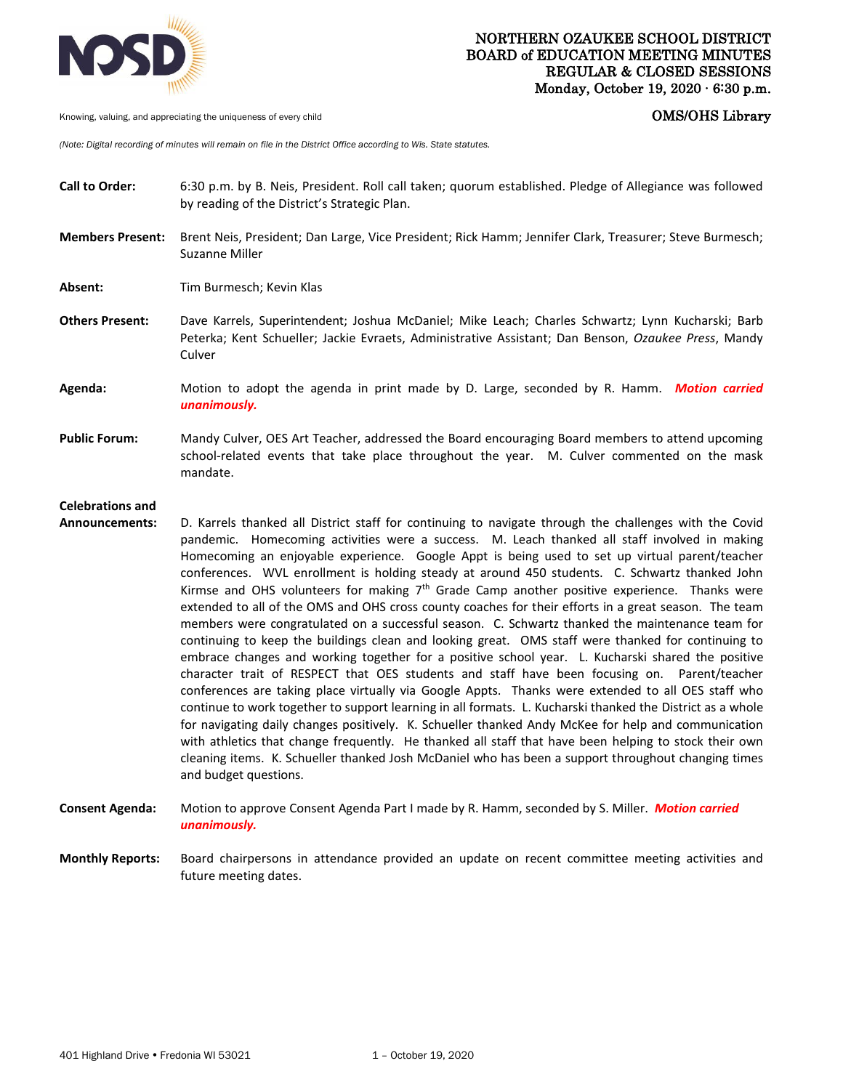

Knowing, valuing, and appreciating the uniqueness of every child **COMS COMS COMS COMS COMS COMS** 

*(Note: Digital recording of minutes will remain on file in the District Office according to Wis. State statutes.* 

- **Call to Order:** 6:30 p.m. by B. Neis, President. Roll call taken; quorum established. Pledge of Allegiance was followed by reading of the District's Strategic Plan.
- **Members Present:** Brent Neis, President; Dan Large, Vice President; Rick Hamm; Jennifer Clark, Treasurer; Steve Burmesch; Suzanne Miller
- Absent: Tim Burmesch; Kevin Klas
- **Others Present:** Dave Karrels, Superintendent; Joshua McDaniel; Mike Leach; Charles Schwartz; Lynn Kucharski; Barb Peterka; Kent Schueller; Jackie Evraets, Administrative Assistant; Dan Benson, *Ozaukee Press*, Mandy Culver
- **Agenda:** Motion to adopt the agenda in print made by D. Large, seconded by R. Hamm. *Motion carried unanimously.*
- **Public Forum:** Mandy Culver, OES Art Teacher, addressed the Board encouraging Board members to attend upcoming school-related events that take place throughout the year. M. Culver commented on the mask mandate.

## **Celebrations and**

- **Announcements:** D. Karrels thanked all District staff for continuing to navigate through the challenges with the Covid pandemic. Homecoming activities were a success. M. Leach thanked all staff involved in making Homecoming an enjoyable experience. Google Appt is being used to set up virtual parent/teacher conferences. WVL enrollment is holding steady at around 450 students. C. Schwartz thanked John Kirmse and OHS volunteers for making 7<sup>th</sup> Grade Camp another positive experience. Thanks were extended to all of the OMS and OHS cross county coaches for their efforts in a great season. The team members were congratulated on a successful season. C. Schwartz thanked the maintenance team for continuing to keep the buildings clean and looking great. OMS staff were thanked for continuing to embrace changes and working together for a positive school year. L. Kucharski shared the positive character trait of RESPECT that OES students and staff have been focusing on. Parent/teacher conferences are taking place virtually via Google Appts. Thanks were extended to all OES staff who continue to work together to support learning in all formats. L. Kucharski thanked the District as a whole for navigating daily changes positively. K. Schueller thanked Andy McKee for help and communication with athletics that change frequently. He thanked all staff that have been helping to stock their own cleaning items. K. Schueller thanked Josh McDaniel who has been a support throughout changing times and budget questions.
- **Consent Agenda:** Motion to approve Consent Agenda Part I made by R. Hamm, seconded by S. Miller. *Motion carried unanimously.*
- **Monthly Reports:** Board chairpersons in attendance provided an update on recent committee meeting activities and future meeting dates.